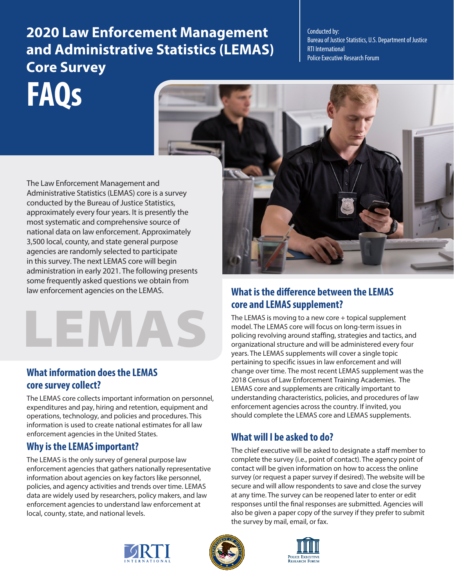# **FAQs 2020 Law Enforcement Management and Administrative Statistics (LEMAS) Core Survey**

Conducted by: Bureau of Justice Statistics, U.S. Department of Justice RTI International Police Executive Research Forum

The Law Enforcement Management and Administrative Statistics (LEMAS) core is a survey conducted by the Bureau of Justice Statistics, approximately every four years. It is presently the most systematic and comprehensive source of national data on law enforcement. Approximately 3,500 local, county, and state general purpose agencies are randomly selected to participate in this survey. The next LEMAS core will begin administration in early 2021. The following presents some frequently asked questions we obtain from



### **What information does the LEMAS core survey collect?**

The LEMAS core collects important information on personnel, expenditures and pay, hiring and retention, equipment and operations, technology, and policies and procedures. This information is used to create national estimates for all law enforcement agencies in the United States.

### **Why is the LEMAS important?**

The LEMAS is the only survey of general purpose law enforcement agencies that gathers nationally representative information about agencies on key factors like personnel, policies, and agency activities and trends over time. LEMAS data are widely used by researchers, policy makers, and law enforcement agencies to understand law enforcement at local, county, state, and national levels.



### law enforcement agencies on the LEMAS. **What is the difference between the LEMAS core and LEMAS supplement?**

The LEMAS is moving to a new core  $+$  topical supplement model. The LEMAS core will focus on long-term issues in policing revolving around staffing, strategies and tactics, and organizational structure and will be administered every four years. The LEMAS supplements will cover a single topic pertaining to specific issues in law enforcement and will change over time. The most recent LEMAS supplement was the 2018 Census of Law Enforcement Training Academies. The LEMAS core and supplements are critically important to understanding characteristics, policies, and procedures of law enforcement agencies across the country. If invited, you should complete the LEMAS core and LEMAS supplements.

## **What will I be asked to do?**

The chief executive will be asked to designate a staff member to complete the survey (i.e., point of contact). The agency point of contact will be given information on how to access the online survey (or request a paper survey if desired). The website will be secure and will allow respondents to save and close the survey at any time. The survey can be reopened later to enter or edit responses until the final responses are submitted. Agencies will also be given a paper copy of the survey if they prefer to submit the survey by mail, email, or fax.